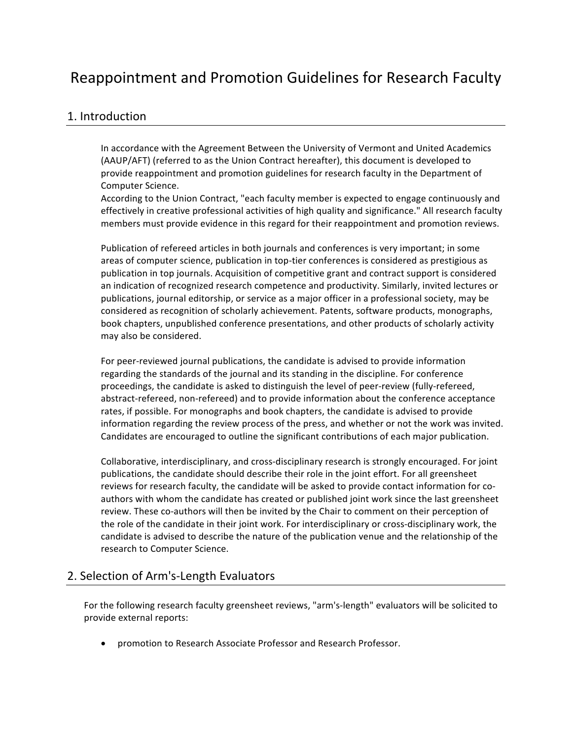# Reappointment and Promotion Guidelines for Research Faculty

### 1. Introduction

In accordance with the Agreement Between the University of Vermont and United Academics (AAUP/AFT) (referred to as the Union Contract hereafter), this document is developed to provide reappointment and promotion guidelines for research faculty in the Department of Computer Science.

According to the Union Contract, "each faculty member is expected to engage continuously and effectively in creative professional activities of high quality and significance." All research faculty members must provide evidence in this regard for their reappointment and promotion reviews.

Publication of refereed articles in both journals and conferences is very important; in some areas of computer science, publication in top-tier conferences is considered as prestigious as publication in top journals. Acquisition of competitive grant and contract support is considered an indication of recognized research competence and productivity. Similarly, invited lectures or publications, journal editorship, or service as a major officer in a professional society, may be considered as recognition of scholarly achievement. Patents, software products, monographs, book chapters, unpublished conference presentations, and other products of scholarly activity may also be considered.

For peer-reviewed journal publications, the candidate is advised to provide information regarding the standards of the journal and its standing in the discipline. For conference proceedings, the candidate is asked to distinguish the level of peer-review (fully-refereed, abstract-refereed, non-refereed) and to provide information about the conference acceptance rates, if possible. For monographs and book chapters, the candidate is advised to provide information regarding the review process of the press, and whether or not the work was invited. Candidates are encouraged to outline the significant contributions of each major publication.

Collaborative, interdisciplinary, and cross-disciplinary research is strongly encouraged. For joint publications, the candidate should describe their role in the joint effort. For all greensheet reviews for research faculty, the candidate will be asked to provide contact information for coauthors with whom the candidate has created or published joint work since the last greensheet review. These co-authors will then be invited by the Chair to comment on their perception of the role of the candidate in their joint work. For interdisciplinary or cross-disciplinary work, the candidate is advised to describe the nature of the publication venue and the relationship of the research to Computer Science.

### 2. Selection of Arm's-Length Evaluators

For the following research faculty greensheet reviews, "arm's-length" evaluators will be solicited to provide external reports:

• promotion to Research Associate Professor and Research Professor.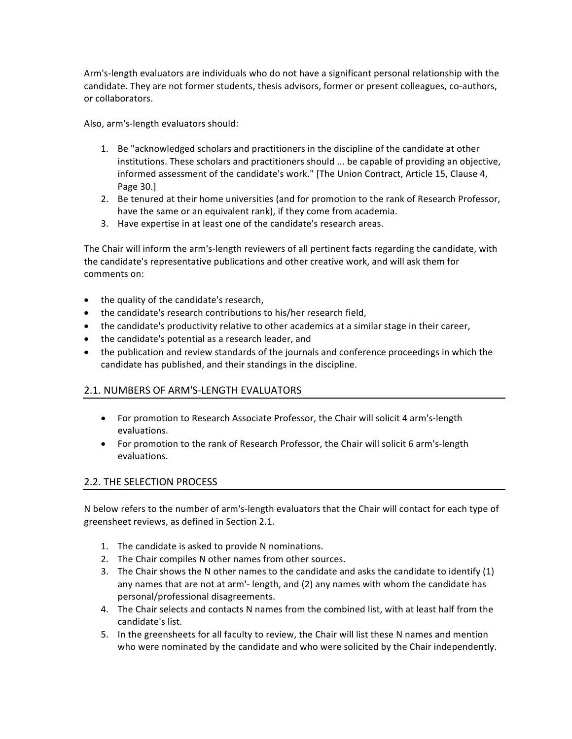Arm's-length evaluators are individuals who do not have a significant personal relationship with the candidate. They are not former students, thesis advisors, former or present colleagues, co-authors, or collaborators.

Also, arm's-length evaluators should:

- 1. Be "acknowledged scholars and practitioners in the discipline of the candidate at other institutions. These scholars and practitioners should ... be capable of providing an objective, informed assessment of the candidate's work." [The Union Contract, Article 15, Clause 4, Page 30.]
- 2. Be tenured at their home universities (and for promotion to the rank of Research Professor, have the same or an equivalent rank), if they come from academia.
- 3. Have expertise in at least one of the candidate's research areas.

The Chair will inform the arm's-length reviewers of all pertinent facts regarding the candidate, with the candidate's representative publications and other creative work, and will ask them for comments on:

- $\bullet$  the quality of the candidate's research,
- the candidate's research contributions to his/her research field,
- the candidate's productivity relative to other academics at a similar stage in their career,
- the candidate's potential as a research leader, and
- the publication and review standards of the journals and conference proceedings in which the candidate has published, and their standings in the discipline.

### 2.1. NUMBERS OF ARM'S-LENGTH EVALUATORS

- For promotion to Research Associate Professor, the Chair will solicit 4 arm's-length evaluations.
- For promotion to the rank of Research Professor, the Chair will solicit 6 arm's-length evaluations.

### 2.2. THE SELECTION PROCESS

N below refers to the number of arm's-length evaluators that the Chair will contact for each type of greensheet reviews, as defined in Section 2.1.

- 1. The candidate is asked to provide N nominations.
- 2. The Chair compiles N other names from other sources.
- 3. The Chair shows the N other names to the candidate and asks the candidate to identify  $(1)$ any names that are not at arm'- length, and (2) any names with whom the candidate has personal/professional disagreements.
- 4. The Chair selects and contacts N names from the combined list, with at least half from the candidate's list.
- 5. In the greensheets for all faculty to review, the Chair will list these N names and mention who were nominated by the candidate and who were solicited by the Chair independently.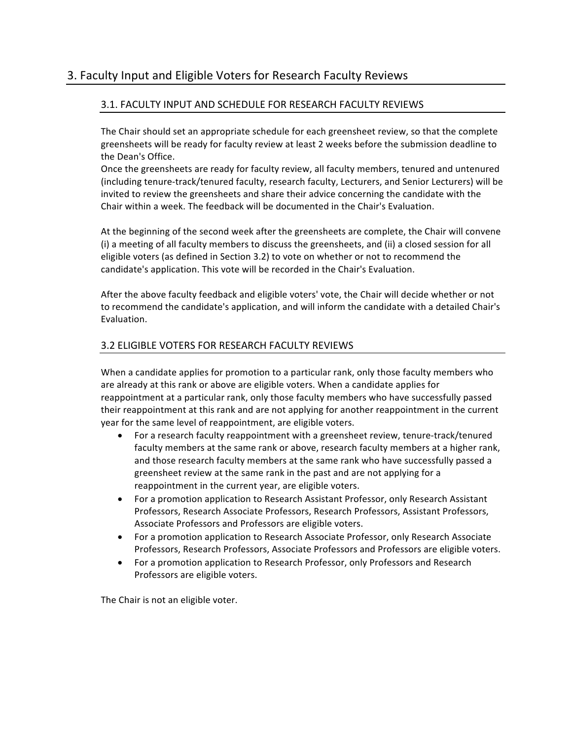### 3. Faculty Input and Eligible Voters for Research Faculty Reviews

### 3.1. FACULTY INPUT AND SCHEDULE FOR RESEARCH FACULTY REVIEWS

The Chair should set an appropriate schedule for each greensheet review, so that the complete greensheets will be ready for faculty review at least 2 weeks before the submission deadline to the Dean's Office.

Once the greensheets are ready for faculty review, all faculty members, tenured and untenured (including tenure-track/tenured faculty, research faculty, Lecturers, and Senior Lecturers) will be invited to review the greensheets and share their advice concerning the candidate with the Chair within a week. The feedback will be documented in the Chair's Evaluation.

At the beginning of the second week after the greensheets are complete, the Chair will convene (i) a meeting of all faculty members to discuss the greensheets, and (ii) a closed session for all eligible voters (as defined in Section 3.2) to vote on whether or not to recommend the candidate's application. This vote will be recorded in the Chair's Evaluation.

After the above faculty feedback and eligible voters' vote, the Chair will decide whether or not to recommend the candidate's application, and will inform the candidate with a detailed Chair's Evaluation.

### 3.2 ELIGIBLE VOTERS FOR RESEARCH FACULTY REVIEWS

When a candidate applies for promotion to a particular rank, only those faculty members who are already at this rank or above are eligible voters. When a candidate applies for reappointment at a particular rank, only those faculty members who have successfully passed their reappointment at this rank and are not applying for another reappointment in the current year for the same level of reappointment, are eligible voters.

- For a research faculty reappointment with a greensheet review, tenure-track/tenured faculty members at the same rank or above, research faculty members at a higher rank, and those research faculty members at the same rank who have successfully passed a greensheet review at the same rank in the past and are not applying for a reappointment in the current year, are eligible voters.
- For a promotion application to Research Assistant Professor, only Research Assistant Professors, Research Associate Professors, Research Professors, Assistant Professors, Associate Professors and Professors are eligible voters.
- For a promotion application to Research Associate Professor, only Research Associate Professors, Research Professors, Associate Professors and Professors are eligible voters.
- For a promotion application to Research Professor, only Professors and Research Professors are eligible voters.

The Chair is not an eligible voter.